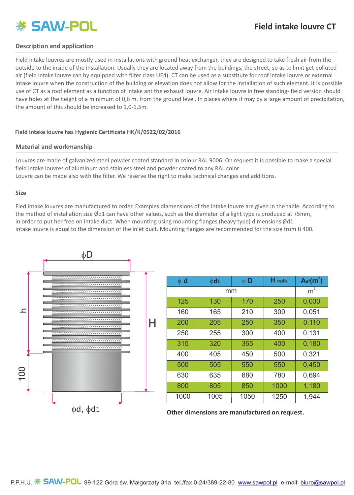# **※ SAW-POL**

# **Field intake louvre CT**

### **Description and application**

Field intake louvre s are mostly used in installations with ground heat exchanger, they are designed to take fresh air from the outside to the inside of the installation. Usually they are located away from the buildings, the street, so as to limit get polluted air (field intake louvre can by equipped with filter class UE4). CT can be used as a substitute for roof intake louvre or external intake louvre when the construction of the building or elevation does not allow for the installation of such element. It is possible use of CT as a roof element as a function of intake ant the exhaust louvre. Air intake louvre in free standing- field version should have holes at the height of a minimum of 0,6 m. from the ground level. In places where it may by a large amount of precipitation, the amount of this should be increased to 1,0-1,5m.

#### **Field intake louvre has Hygienic Certificate HK/K/0522/02/2016**

#### **Material and workmanship**

Louvres are made of galvanized steel powder coated standard in colour RAL 9006. On request it is possible to make a special field intake louvres of aluminum and stainless steel and powder coated to any RAL color. Louvre can be made also with the filter. We reserve the right to make technical changes and additions.

#### **Size**

Fied intake louvres are manufactured to order. Examples diamensions of the intake louvre are given in the table. According to the method of installation size Ød1 can have other values, such as the diameter of a light type is produced at +5mm, in order to put her free on intake duct. When mounting using mounting flanges (heavy type) dimensions Ød1 intake louvre is equal to the dimension of the inlet duct. Mounting flanges are recommended for the size from fi 400.



| $\phi$ d | $\phi$ d1 | $\phi$ D | H całk.        | $A_{\text{ef}}(m^2)$ |
|----------|-----------|----------|----------------|----------------------|
| mm       |           |          | m <sup>2</sup> |                      |
| 125      | 130       | 170      | 250            | 0,030                |
| 160      | 165       | 210      | 300            | 0,051                |
| 200      | 205       | 250      | 350            | 0,110                |
| 250      | 255       | 300      | 400            | 0,131                |
| 315      | 320       | 365      | 400            | 0,180                |
| 400      | 405       | 450      | 500            | 0,321                |
| 500      | 505       | 550      | 550            | 0,450                |
| 630      | 635       | 680      | 780            | 0,694                |
| 800      | 805       | 850      | 1000           | 1,180                |
| 1000     | 1005      | 1050     | 1250           | 1,944                |

**Other dimensions are manufactured on request.**